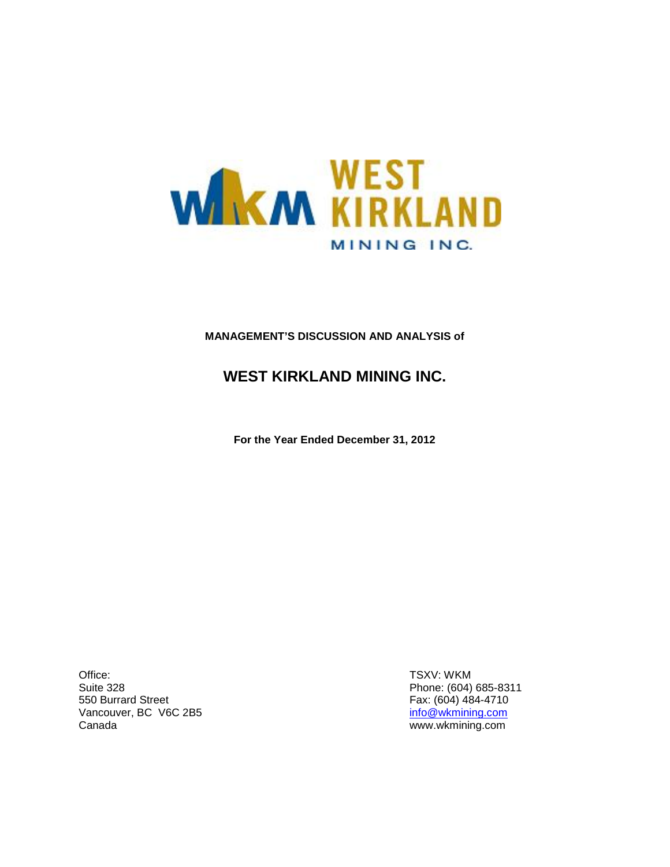

# **MANAGEMENT'S DISCUSSION AND ANALYSIS of**

# **WEST KIRKLAND MINING INC.**

**For the Year Ended December 31, 2012**

Office: Suite 328 550 Burrard Street Vancouver, BC V6C 2B5 Canada

TSXV: WKM Phone: (604) 685-8311 Fax: (604) 484-4710 [info@wkmining.com](mailto:info@wkmining.com) www.wkmining.com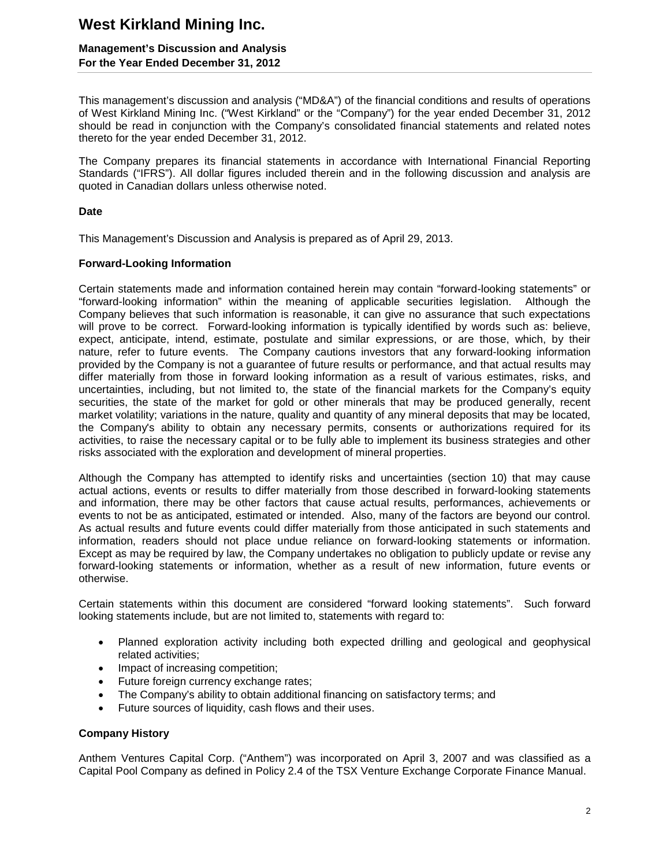## **Management's Discussion and Analysis For the Year Ended December 31, 2012**

This management's discussion and analysis ("MD&A") of the financial conditions and results of operations of West Kirkland Mining Inc. ("West Kirkland" or the "Company") for the year ended December 31, 2012 should be read in conjunction with the Company's consolidated financial statements and related notes thereto for the year ended December 31, 2012.

The Company prepares its financial statements in accordance with International Financial Reporting Standards ("IFRS"). All dollar figures included therein and in the following discussion and analysis are quoted in Canadian dollars unless otherwise noted.

### **Date**

This Management's Discussion and Analysis is prepared as of April 29, 2013.

### **Forward-Looking Information**

Certain statements made and information contained herein may contain "forward-looking statements" or "forward-looking information" within the meaning of applicable securities legislation. Although the Company believes that such information is reasonable, it can give no assurance that such expectations will prove to be correct. Forward-looking information is typically identified by words such as: believe, expect, anticipate, intend, estimate, postulate and similar expressions, or are those, which, by their nature, refer to future events. The Company cautions investors that any forward-looking information provided by the Company is not a guarantee of future results or performance, and that actual results may differ materially from those in forward looking information as a result of various estimates, risks, and uncertainties, including, but not limited to, the state of the financial markets for the Company's equity securities, the state of the market for gold or other minerals that may be produced generally, recent market volatility; variations in the nature, quality and quantity of any mineral deposits that may be located, the Company's ability to obtain any necessary permits, consents or authorizations required for its activities, to raise the necessary capital or to be fully able to implement its business strategies and other risks associated with the exploration and development of mineral properties.

Although the Company has attempted to identify risks and uncertainties (section 10) that may cause actual actions, events or results to differ materially from those described in forward-looking statements and information, there may be other factors that cause actual results, performances, achievements or events to not be as anticipated, estimated or intended. Also, many of the factors are beyond our control. As actual results and future events could differ materially from those anticipated in such statements and information, readers should not place undue reliance on forward-looking statements or information. Except as may be required by law, the Company undertakes no obligation to publicly update or revise any forward-looking statements or information, whether as a result of new information, future events or otherwise.

Certain statements within this document are considered "forward looking statements". Such forward looking statements include, but are not limited to, statements with regard to:

- Planned exploration activity including both expected drilling and geological and geophysical related activities;
- Impact of increasing competition;
- Future foreign currency exchange rates;
- The Company's ability to obtain additional financing on satisfactory terms; and
- Future sources of liquidity, cash flows and their uses.

### **Company History**

Anthem Ventures Capital Corp. ("Anthem") was incorporated on April 3, 2007 and was classified as a Capital Pool Company as defined in Policy 2.4 of the TSX Venture Exchange Corporate Finance Manual.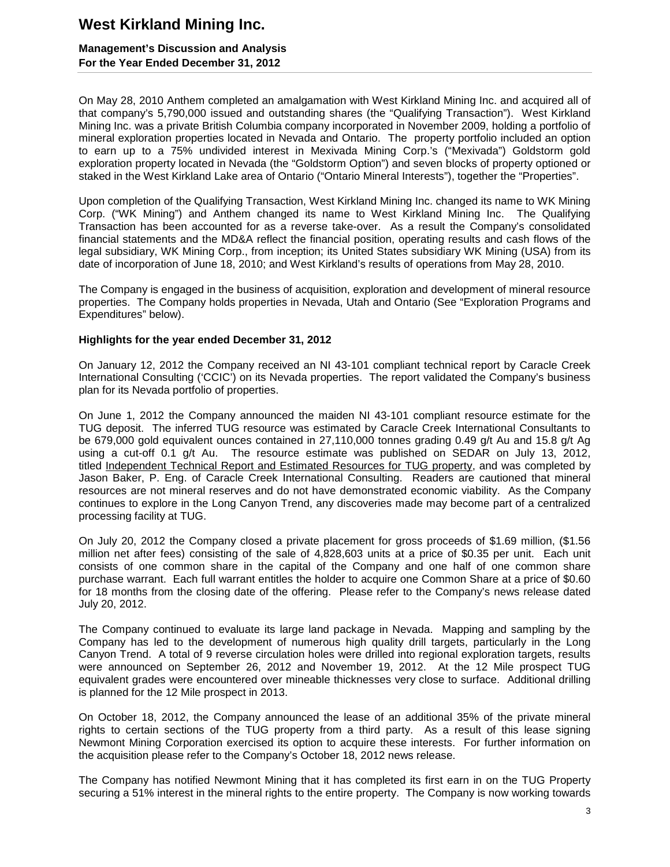## **Management's Discussion and Analysis For the Year Ended December 31, 2012**

On May 28, 2010 Anthem completed an amalgamation with West Kirkland Mining Inc. and acquired all of that company's 5,790,000 issued and outstanding shares (the "Qualifying Transaction"). West Kirkland Mining Inc. was a private British Columbia company incorporated in November 2009, holding a portfolio of mineral exploration properties located in Nevada and Ontario. The property portfolio included an option to earn up to a 75% undivided interest in Mexivada Mining Corp.'s ("Mexivada") Goldstorm gold exploration property located in Nevada (the "Goldstorm Option") and seven blocks of property optioned or staked in the West Kirkland Lake area of Ontario ("Ontario Mineral Interests"), together the "Properties".

Upon completion of the Qualifying Transaction, West Kirkland Mining Inc. changed its name to WK Mining Corp. ("WK Mining") and Anthem changed its name to West Kirkland Mining Inc. The Qualifying Transaction has been accounted for as a reverse take-over. As a result the Company's consolidated financial statements and the MD&A reflect the financial position, operating results and cash flows of the legal subsidiary, WK Mining Corp., from inception; its United States subsidiary WK Mining (USA) from its date of incorporation of June 18, 2010; and West Kirkland's results of operations from May 28, 2010.

The Company is engaged in the business of acquisition, exploration and development of mineral resource properties. The Company holds properties in Nevada, Utah and Ontario (See "Exploration Programs and Expenditures" below).

### **Highlights for the year ended December 31, 2012**

On January 12, 2012 the Company received an NI 43-101 compliant technical report by Caracle Creek International Consulting ('CCIC') on its Nevada properties. The report validated the Company's business plan for its Nevada portfolio of properties.

On June 1, 2012 the Company announced the maiden NI 43-101 compliant resource estimate for the TUG deposit. The inferred TUG resource was estimated by Caracle Creek International Consultants to be 679,000 gold equivalent ounces contained in 27,110,000 tonnes grading 0.49 g/t Au and 15.8 g/t Ag using a cut-off 0.1 g/t Au. The resource estimate was published on SEDAR on July 13, 2012, titled Independent Technical Report and Estimated Resources for TUG property, and was completed by Jason Baker, P. Eng. of Caracle Creek International Consulting. Readers are cautioned that mineral resources are not mineral reserves and do not have demonstrated economic viability. As the Company continues to explore in the Long Canyon Trend, any discoveries made may become part of a centralized processing facility at TUG.

On July 20, 2012 the Company closed a private placement for gross proceeds of \$1.69 million, (\$1.56 million net after fees) consisting of the sale of 4,828,603 units at a price of \$0.35 per unit. Each unit consists of one common share in the capital of the Company and one half of one common share purchase warrant. Each full warrant entitles the holder to acquire one Common Share at a price of \$0.60 for 18 months from the closing date of the offering. Please refer to the Company's news release dated July 20, 2012.

The Company continued to evaluate its large land package in Nevada. Mapping and sampling by the Company has led to the development of numerous high quality drill targets, particularly in the Long Canyon Trend. A total of 9 reverse circulation holes were drilled into regional exploration targets, results were announced on September 26, 2012 and November 19, 2012. At the 12 Mile prospect TUG equivalent grades were encountered over mineable thicknesses very close to surface. Additional drilling is planned for the 12 Mile prospect in 2013.

On October 18, 2012, the Company announced the lease of an additional 35% of the private mineral rights to certain sections of the TUG property from a third party. As a result of this lease signing Newmont Mining Corporation exercised its option to acquire these interests. For further information on the acquisition please refer to the Company's October 18, 2012 news release.

The Company has notified Newmont Mining that it has completed its first earn in on the TUG Property securing a 51% interest in the mineral rights to the entire property. The Company is now working towards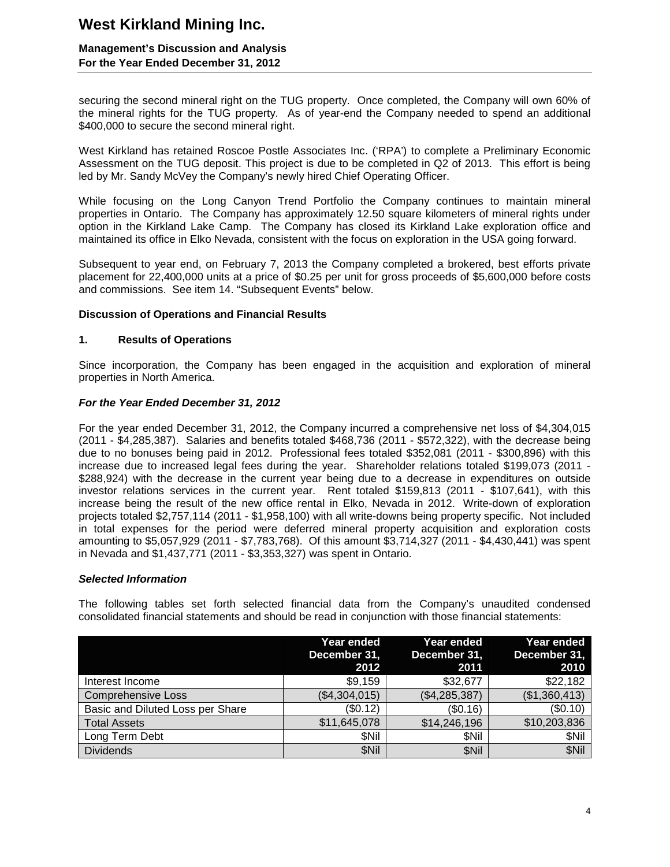## **Management's Discussion and Analysis For the Year Ended December 31, 2012**

securing the second mineral right on the TUG property. Once completed, the Company will own 60% of the mineral rights for the TUG property. As of year-end the Company needed to spend an additional \$400,000 to secure the second mineral right.

West Kirkland has retained Roscoe Postle Associates Inc. ('RPA') to complete a Preliminary Economic Assessment on the TUG deposit. This project is due to be completed in Q2 of 2013. This effort is being led by Mr. Sandy McVey the Company's newly hired Chief Operating Officer.

While focusing on the Long Canyon Trend Portfolio the Company continues to maintain mineral properties in Ontario. The Company has approximately 12.50 square kilometers of mineral rights under option in the Kirkland Lake Camp. The Company has closed its Kirkland Lake exploration office and maintained its office in Elko Nevada, consistent with the focus on exploration in the USA going forward.

Subsequent to year end, on February 7, 2013 the Company completed a brokered, best efforts private placement for 22,400,000 units at a price of \$0.25 per unit for gross proceeds of \$5,600,000 before costs and commissions. See item 14. "Subsequent Events" below.

### **Discussion of Operations and Financial Results**

### **1. Results of Operations**

Since incorporation, the Company has been engaged in the acquisition and exploration of mineral properties in North America.

### *For the Year Ended December 31, 2012*

For the year ended December 31, 2012, the Company incurred a comprehensive net loss of \$4,304,015 (2011 - \$4,285,387). Salaries and benefits totaled \$468,736 (2011 - \$572,322), with the decrease being due to no bonuses being paid in 2012. Professional fees totaled \$352,081 (2011 - \$300,896) with this increase due to increased legal fees during the year. Shareholder relations totaled \$199,073 (2011 - \$288,924) with the decrease in the current year being due to a decrease in expenditures on outside investor relations services in the current year. Rent totaled \$159,813 (2011 - \$107,641), with this increase being the result of the new office rental in Elko, Nevada in 2012. Write-down of exploration projects totaled \$2,757,114 (2011 - \$1,958,100) with all write-downs being property specific. Not included in total expenses for the period were deferred mineral property acquisition and exploration costs amounting to \$5,057,929 (2011 - \$7,783,768). Of this amount \$3,714,327 (2011 - \$4,430,441) was spent in Nevada and \$1,437,771 (2011 - \$3,353,327) was spent in Ontario.

### *Selected Information*

The following tables set forth selected financial data from the Company's unaudited condensed consolidated financial statements and should be read in conjunction with those financial statements:

|                                  | Year ended<br>December 31,<br>2012 | Year ended<br>December 31,<br>2011 | Year ended<br>December 31,<br>2010 |
|----------------------------------|------------------------------------|------------------------------------|------------------------------------|
| Interest Income                  | \$9,159                            | \$32,677                           | \$22,182                           |
| <b>Comprehensive Loss</b>        | (\$4,304,015)                      | (\$4,285,387)                      | (\$1,360,413)                      |
| Basic and Diluted Loss per Share | (\$0.12)                           | (\$0.16)                           | (\$0.10)                           |
| <b>Total Assets</b>              | \$11,645,078                       | \$14,246,196                       | \$10,203,836                       |
| Long Term Debt                   | <b>SNil</b>                        | \$Nil                              | \$Nil                              |
| <b>Dividends</b>                 | \$Nil                              | \$Nil                              | \$Nil                              |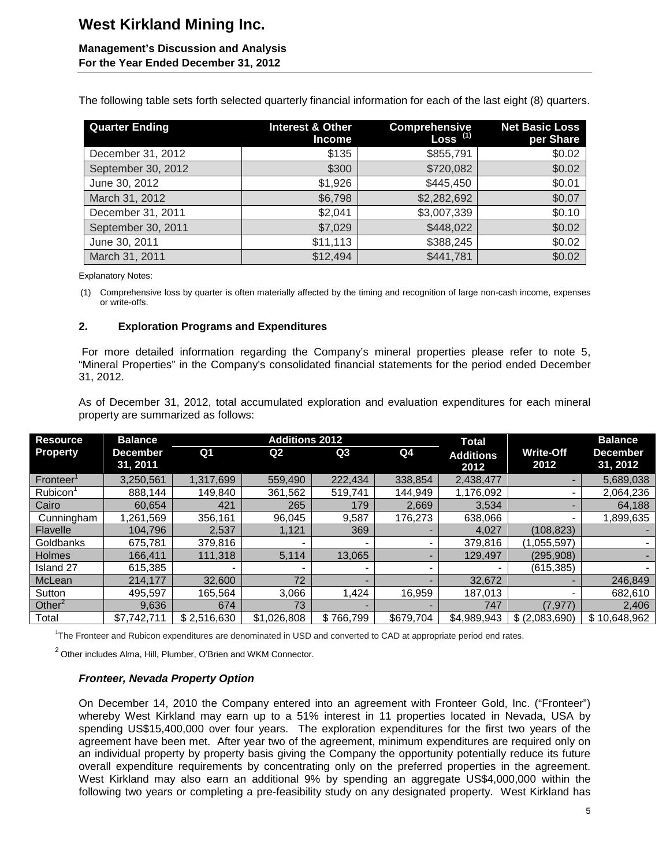### **Management's Discussion and Analysis For the Year Ended December 31, 2012**

The following table sets forth selected quarterly financial information for each of the last eight (8) quarters.

| <b>Quarter Ending</b> | <b>Interest &amp; Other</b><br><b>Income</b> | Comprehensive<br>Loss <sup>(1)</sup> | <b>Net Basic Loss</b><br>per Share |
|-----------------------|----------------------------------------------|--------------------------------------|------------------------------------|
| December 31, 2012     | \$135                                        | \$855,791                            | \$0.02                             |
| September 30, 2012    | \$300                                        | \$720,082                            | \$0.02                             |
| June 30, 2012         | \$1,926                                      | \$445,450                            | \$0.01                             |
| March 31, 2012        | \$6,798                                      | \$2,282,692                          | \$0.07                             |
| December 31, 2011     | \$2,041                                      | \$3,007,339                          | \$0.10                             |
| September 30, 2011    | \$7,029                                      | \$448,022                            | \$0.02                             |
| June 30, 2011         | \$11,113                                     | \$388,245                            | \$0.02                             |
| March 31, 2011        | \$12,494                                     | \$441,781                            | \$0.02                             |

Explanatory Notes:

(1) Comprehensive loss by quarter is often materially affected by the timing and recognition of large non-cash income, expenses or write-offs.

### **2. Exploration Programs and Expenditures**

For more detailed information regarding the Company's mineral properties please refer to note 5, "Mineral Properties" in the Company's consolidated financial statements for the period ended December 31, 2012.

As of December 31, 2012, total accumulated exploration and evaluation expenditures for each mineral property are summarized as follows:

| <b>Resource</b>       | <b>Balance</b>              |                | <b>Additions 2012</b> |                          |           | <b>Total</b>             |                          | <b>Balance</b>              |
|-----------------------|-----------------------------|----------------|-----------------------|--------------------------|-----------|--------------------------|--------------------------|-----------------------------|
| <b>Property</b>       | <b>December</b><br>31, 2011 | Q <sub>1</sub> | Q <sub>2</sub>        | Q3                       | Q4        | <b>Additions</b><br>2012 | <b>Write-Off</b><br>2012 | <b>December</b><br>31, 2012 |
| Fronteer <sup>1</sup> | 3,250,561                   | 1,317,699      | 559.490               | 222,434                  | 338,854   | 2,438,477                | $\sim$                   | 5,689,038                   |
| Rubicon               | 888.144                     | 149,840        | 361,562               | 519,741                  | 144,949   | 1,176,092                |                          | 2,064,236                   |
| Cairo                 | 60,654                      | 421            | 265                   | 179                      | 2,669     | 3,534                    | $\overline{\phantom{a}}$ | 64,188                      |
| Cunningham            | 1,261,569                   | 356,161        | 96,045                | 9,587                    | 176,273   | 638,066                  |                          | 1,899,635                   |
| Flavelle              | 104.796                     | 2,537          | 1,121                 | 369                      |           | 4,027                    | (108, 823)               |                             |
| Goldbanks             | 675.781                     | 379,816        |                       |                          |           | 379,816                  | (1,055,597)              |                             |
| <b>Holmes</b>         | 166.411                     | 111.318        | 5.114                 | 13,065                   |           | 129.497                  | (295.908)                |                             |
| Island 27             | 615,385                     |                |                       | $\blacksquare$           |           |                          | (615, 385)               |                             |
| McLean                | 214.177                     | 32,600         | 72                    | ۰                        |           | 32,672                   |                          | 246,849                     |
| Sutton                | 495.597                     | 165,564        | 3,066                 | 1,424                    | 16,959    | 187,013                  |                          | 682.610                     |
| Other $2$             | 9,636                       | 674            | 73                    | $\overline{\phantom{a}}$ |           | 747                      | (7, 977)                 | 2,406                       |
| Total                 | \$7.742.711                 | \$2,516,630    | \$1,026,808           | \$766.799                | \$679.704 | \$4,989,943              | \$ (2,083,690)           | \$10.648.962                |

1 The Fronteer and Rubicon expenditures are denominated in USD and converted to CAD at appropriate period end rates.

 $2$  Other includes Alma, Hill, Plumber, O'Brien and WKM Connector.

### *Fronteer, Nevada Property Option*

On December 14, 2010 the Company entered into an agreement with Fronteer Gold, Inc. ("Fronteer") whereby West Kirkland may earn up to a 51% interest in 11 properties located in Nevada, USA by spending US\$15,400,000 over four years. The exploration expenditures for the first two years of the agreement have been met. After year two of the agreement, minimum expenditures are required only on an individual property by property basis giving the Company the opportunity potentially reduce its future overall expenditure requirements by concentrating only on the preferred properties in the agreement. West Kirkland may also earn an additional 9% by spending an aggregate US\$4,000,000 within the following two years or completing a pre-feasibility study on any designated property. West Kirkland has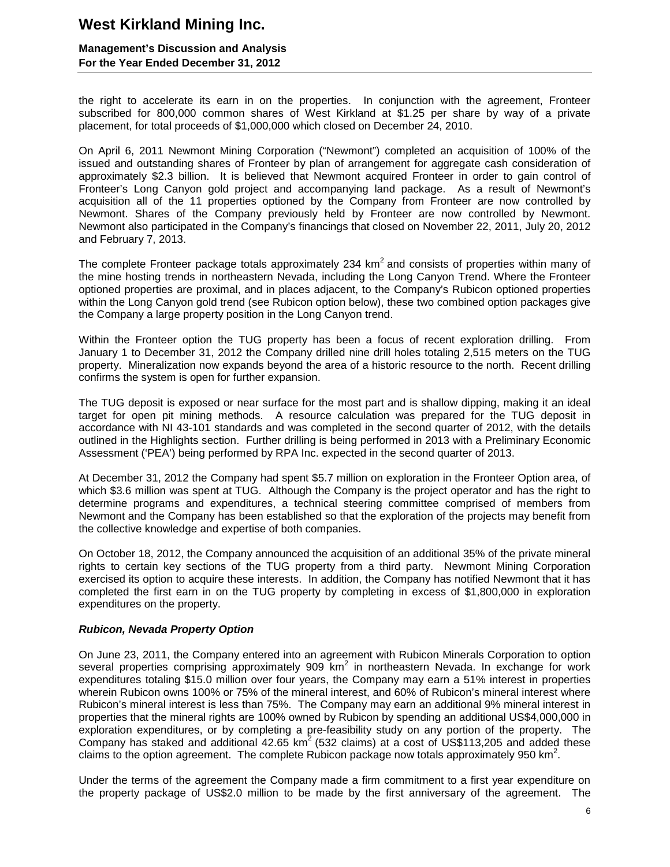## **Management's Discussion and Analysis For the Year Ended December 31, 2012**

the right to accelerate its earn in on the properties. In conjunction with the agreement, Fronteer subscribed for 800,000 common shares of West Kirkland at \$1.25 per share by way of a private placement, for total proceeds of \$1,000,000 which closed on December 24, 2010.

On April 6, 2011 Newmont Mining Corporation ("Newmont") completed an acquisition of 100% of the issued and outstanding shares of Fronteer by plan of arrangement for aggregate cash consideration of approximately \$2.3 billion. It is believed that Newmont acquired Fronteer in order to gain control of Fronteer's Long Canyon gold project and accompanying land package. As a result of Newmont's acquisition all of the 11 properties optioned by the Company from Fronteer are now controlled by Newmont. Shares of the Company previously held by Fronteer are now controlled by Newmont. Newmont also participated in the Company's financings that closed on November 22, 2011, July 20, 2012 and February 7, 2013.

The complete Fronteer package totals approximately 234  $km<sup>2</sup>$  and consists of properties within many of the mine hosting trends in northeastern Nevada, including the Long Canyon Trend. Where the Fronteer optioned properties are proximal, and in places adjacent, to the Company's Rubicon optioned properties within the Long Canyon gold trend (see Rubicon option below), these two combined option packages give the Company a large property position in the Long Canyon trend.

Within the Fronteer option the TUG property has been a focus of recent exploration drilling. From January 1 to December 31, 2012 the Company drilled nine drill holes totaling 2,515 meters on the TUG property. Mineralization now expands beyond the area of a historic resource to the north. Recent drilling confirms the system is open for further expansion.

The TUG deposit is exposed or near surface for the most part and is shallow dipping, making it an ideal target for open pit mining methods. A resource calculation was prepared for the TUG deposit in accordance with NI 43-101 standards and was completed in the second quarter of 2012, with the details outlined in the Highlights section. Further drilling is being performed in 2013 with a Preliminary Economic Assessment ('PEA') being performed by RPA Inc. expected in the second quarter of 2013.

At December 31, 2012 the Company had spent \$5.7 million on exploration in the Fronteer Option area, of which \$3.6 million was spent at TUG. Although the Company is the project operator and has the right to determine programs and expenditures, a technical steering committee comprised of members from Newmont and the Company has been established so that the exploration of the projects may benefit from the collective knowledge and expertise of both companies.

On October 18, 2012, the Company announced the acquisition of an additional 35% of the private mineral rights to certain key sections of the TUG property from a third party. Newmont Mining Corporation exercised its option to acquire these interests. In addition, the Company has notified Newmont that it has completed the first earn in on the TUG property by completing in excess of \$1,800,000 in exploration expenditures on the property.

## *Rubicon, Nevada Property Option*

On June 23, 2011, the Company entered into an agreement with Rubicon Minerals Corporation to option several properties comprising approximately 909  $km<sup>2</sup>$  in northeastern Nevada. In exchange for work expenditures totaling \$15.0 million over four years, the Company may earn a 51% interest in properties wherein Rubicon owns 100% or 75% of the mineral interest, and 60% of Rubicon's mineral interest where Rubicon's mineral interest is less than 75%. The Company may earn an additional 9% mineral interest in properties that the mineral rights are 100% owned by Rubicon by spending an additional US\$4,000,000 in exploration expenditures, or by completing a pre-feasibility study on any portion of the property. The Company has staked and additional  $42.65 \text{ km}^2$  (532 claims) at a cost of US\$113,205 and added these claims to the option agreement. The complete Rubicon package now totals approximately 950 km<sup>2</sup>.

Under the terms of the agreement the Company made a firm commitment to a first year expenditure on the property package of US\$2.0 million to be made by the first anniversary of the agreement. The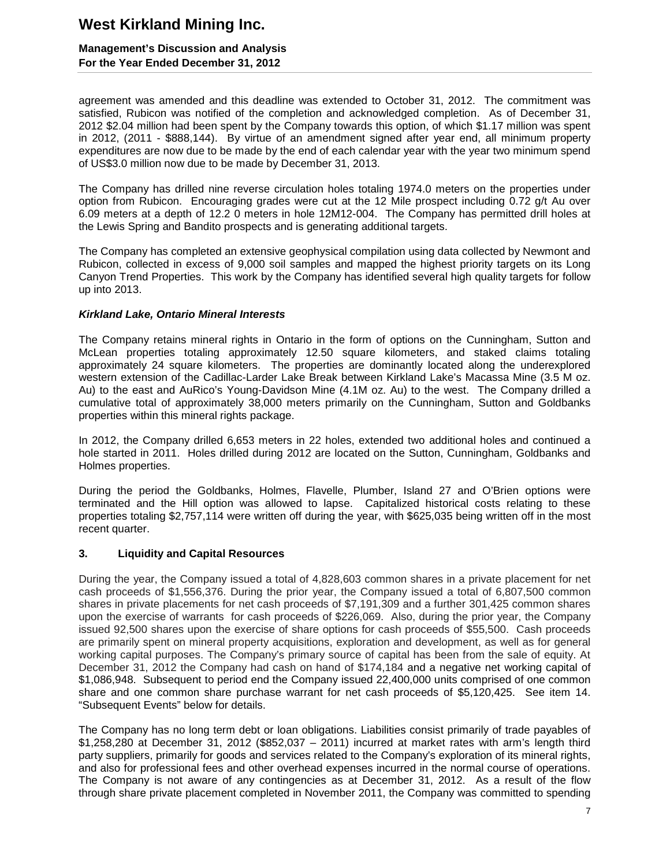## **Management's Discussion and Analysis For the Year Ended December 31, 2012**

agreement was amended and this deadline was extended to October 31, 2012. The commitment was satisfied, Rubicon was notified of the completion and acknowledged completion. As of December 31, 2012 \$2.04 million had been spent by the Company towards this option, of which \$1.17 million was spent in 2012, (2011 - \$888,144). By virtue of an amendment signed after year end, all minimum property expenditures are now due to be made by the end of each calendar year with the year two minimum spend of US\$3.0 million now due to be made by December 31, 2013.

The Company has drilled nine reverse circulation holes totaling 1974.0 meters on the properties under option from Rubicon. Encouraging grades were cut at the 12 Mile prospect including 0.72 g/t Au over 6.09 meters at a depth of 12.2 0 meters in hole 12M12-004. The Company has permitted drill holes at the Lewis Spring and Bandito prospects and is generating additional targets.

The Company has completed an extensive geophysical compilation using data collected by Newmont and Rubicon, collected in excess of 9,000 soil samples and mapped the highest priority targets on its Long Canyon Trend Properties. This work by the Company has identified several high quality targets for follow up into 2013.

### *Kirkland Lake, Ontario Mineral Interests*

The Company retains mineral rights in Ontario in the form of options on the Cunningham, Sutton and McLean properties totaling approximately 12.50 square kilometers, and staked claims totaling approximately 24 square kilometers. The properties are dominantly located along the underexplored western extension of the Cadillac-Larder Lake Break between Kirkland Lake's Macassa Mine (3.5 M oz. Au) to the east and AuRico's Young-Davidson Mine (4.1M oz. Au) to the west. The Company drilled a cumulative total of approximately 38,000 meters primarily on the Cunningham, Sutton and Goldbanks properties within this mineral rights package.

In 2012, the Company drilled 6,653 meters in 22 holes, extended two additional holes and continued a hole started in 2011. Holes drilled during 2012 are located on the Sutton, Cunningham, Goldbanks and Holmes properties.

During the period the Goldbanks, Holmes, Flavelle, Plumber, Island 27 and O'Brien options were terminated and the Hill option was allowed to lapse. Capitalized historical costs relating to these properties totaling \$2,757,114 were written off during the year, with \$625,035 being written off in the most recent quarter.

### **3. Liquidity and Capital Resources**

During the year, the Company issued a total of 4,828,603 common shares in a private placement for net cash proceeds of \$1,556,376. During the prior year, the Company issued a total of 6,807,500 common shares in private placements for net cash proceeds of \$7,191,309 and a further 301,425 common shares upon the exercise of warrants for cash proceeds of \$226,069. Also, during the prior year, the Company issued 92,500 shares upon the exercise of share options for cash proceeds of \$55,500. Cash proceeds are primarily spent on mineral property acquisitions, exploration and development, as well as for general working capital purposes. The Company's primary source of capital has been from the sale of equity. At December 31, 2012 the Company had cash on hand of \$174,184 and a negative net working capital of \$1,086,948. Subsequent to period end the Company issued 22,400,000 units comprised of one common share and one common share purchase warrant for net cash proceeds of \$5,120,425. See item 14. "Subsequent Events" below for details.

The Company has no long term debt or loan obligations. Liabilities consist primarily of trade payables of \$1,258,280 at December 31, 2012 (\$852,037 – 2011) incurred at market rates with arm's length third party suppliers, primarily for goods and services related to the Company's exploration of its mineral rights, and also for professional fees and other overhead expenses incurred in the normal course of operations. The Company is not aware of any contingencies as at December 31, 2012. As a result of the flow through share private placement completed in November 2011, the Company was committed to spending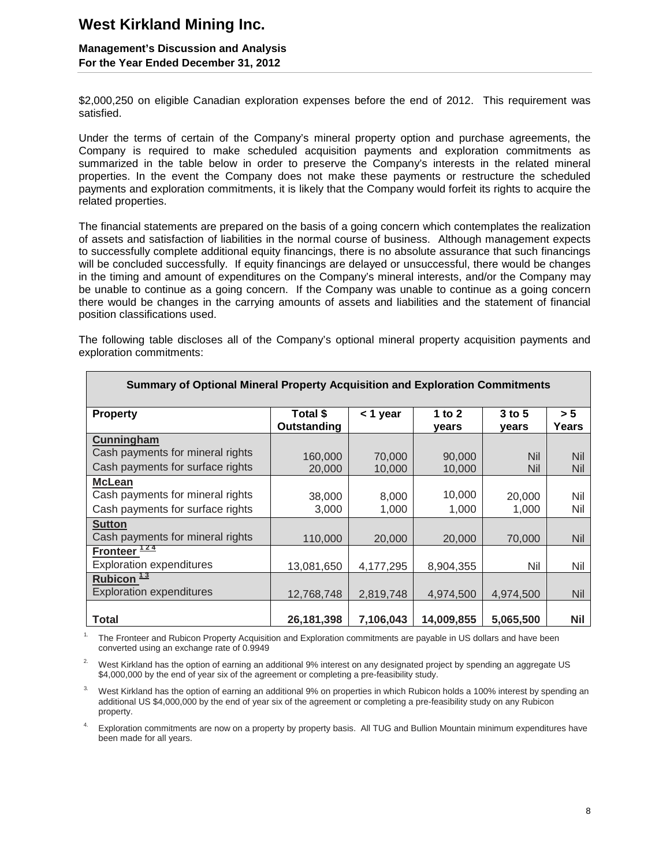## **Management's Discussion and Analysis For the Year Ended December 31, 2012**

\$2,000,250 on eligible Canadian exploration expenses before the end of 2012. This requirement was satisfied.

Under the terms of certain of the Company's mineral property option and purchase agreements, the Company is required to make scheduled acquisition payments and exploration commitments as summarized in the table below in order to preserve the Company's interests in the related mineral properties. In the event the Company does not make these payments or restructure the scheduled payments and exploration commitments, it is likely that the Company would forfeit its rights to acquire the related properties.

The financial statements are prepared on the basis of a going concern which contemplates the realization of assets and satisfaction of liabilities in the normal course of business. Although management expects to successfully complete additional equity financings, there is no absolute assurance that such financings will be concluded successfully. If equity financings are delayed or unsuccessful, there would be changes in the timing and amount of expenditures on the Company's mineral interests, and/or the Company may be unable to continue as a going concern. If the Company was unable to continue as a going concern there would be changes in the carrying amounts of assets and liabilities and the statement of financial position classifications used.

The following table discloses all of the Company's optional mineral property acquisition payments and exploration commitments:

| <b>Property</b>                  | Total \$     | $<$ 1 year | 1 to $2$   | $3$ to $5$ | > 5        |
|----------------------------------|--------------|------------|------------|------------|------------|
|                                  | Outstanding  |            | years      | years      | Years      |
| Cunningham                       |              |            |            |            |            |
| Cash payments for mineral rights | 160,000      | 70,000     | 90,000     | Nil        | <b>Nil</b> |
| Cash payments for surface rights | 20,000       | 10,000     | 10,000     | Nil        | <b>Nil</b> |
| <b>McLean</b>                    |              |            |            |            |            |
| Cash payments for mineral rights | 38,000       | 8,000      | 10,000     | 20,000     | Nil        |
| Cash payments for surface rights | 3,000        | 1,000      | 1,000      | 1,000      | Nil        |
| <b>Sutton</b>                    |              |            |            |            |            |
| Cash payments for mineral rights | 110,000      | 20,000     | 20,000     | 70,000     | Nil        |
| Fronteer <sup>124</sup>          |              |            |            |            |            |
| <b>Exploration expenditures</b>  | 13,081,650   | 4,177,295  | 8,904,355  | Nil        | Nil        |
| Rubicon $\frac{13}{12}$          |              |            |            |            |            |
| <b>Exploration expenditures</b>  | 12,768,748   | 2,819,748  | 4,974,500  | 4,974,500  | Nil        |
|                                  |              |            |            |            |            |
| <b>Total</b>                     | 26, 181, 398 | 7,106,043  | 14,009,855 | 5,065,500  | <b>Nil</b> |

**Summary of Optional Mineral Property Acquisition and Exploration Commitments** 

1. The Fronteer and Rubicon Property Acquisition and Exploration commitments are payable in US dollars and have been converted using an exchange rate of 0.9949

<sup>2.</sup> West Kirkland has the option of earning an additional 9% interest on any designated project by spending an aggregate US \$4,000,000 by the end of year six of the agreement or completing a pre-feasibility study.

3. West Kirkland has the option of earning an additional 9% on properties in which Rubicon holds a 100% interest by spending an additional US \$4,000,000 by the end of year six of the agreement or completing a pre-feasibility study on any Rubicon property.

4. Exploration commitments are now on a property by property basis. All TUG and Bullion Mountain minimum expenditures have been made for all years.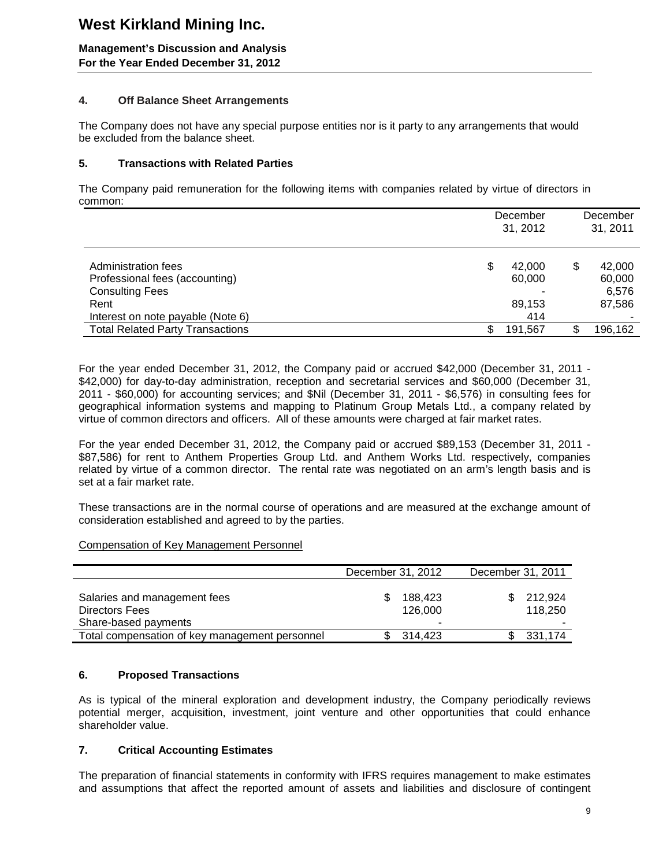**Management's Discussion and Analysis For the Year Ended December 31, 2012** 

### **4. Off Balance Sheet Arrangements**

The Company does not have any special purpose entities nor is it party to any arrangements that would be excluded from the balance sheet.

### **5. Transactions with Related Parties**

The Company paid remuneration for the following items with companies related by virtue of directors in common:

|                                         |   | December<br>31, 2012 |    | December<br>31, 2011 |
|-----------------------------------------|---|----------------------|----|----------------------|
| Administration fees                     | S | 42,000               | S  | 42,000               |
| Professional fees (accounting)          |   | 60,000               |    | 60,000               |
| <b>Consulting Fees</b>                  |   |                      |    | 6,576                |
| Rent                                    |   | 89,153               |    | 87,586               |
| Interest on note payable (Note 6)       |   | 414                  |    |                      |
| <b>Total Related Party Transactions</b> |   | 191,567              | S. | 196,162              |

For the year ended December 31, 2012, the Company paid or accrued \$42,000 (December 31, 2011 - \$42,000) for day-to-day administration, reception and secretarial services and \$60,000 (December 31, 2011 - \$60,000) for accounting services; and \$Nil (December 31, 2011 - \$6,576) in consulting fees for geographical information systems and mapping to Platinum Group Metals Ltd., a company related by virtue of common directors and officers. All of these amounts were charged at fair market rates.

For the year ended December 31, 2012, the Company paid or accrued \$89,153 (December 31, 2011 - \$87,586) for rent to Anthem Properties Group Ltd. and Anthem Works Ltd. respectively, companies related by virtue of a common director. The rental rate was negotiated on an arm's length basis and is set at a fair market rate.

These transactions are in the normal course of operations and are measured at the exchange amount of consideration established and agreed to by the parties.

Compensation of Key Management Personnel

|                                                | December 31, 2012 |         | December 31, 2011 |  |
|------------------------------------------------|-------------------|---------|-------------------|--|
|                                                |                   |         |                   |  |
| Salaries and management fees                   |                   | 188.423 | 212.924           |  |
| Directors Fees                                 |                   | 126,000 | 118.250           |  |
| Share-based payments                           |                   |         |                   |  |
| Total compensation of key management personnel |                   | 314.423 | 331,174           |  |

## **6. Proposed Transactions**

As is typical of the mineral exploration and development industry, the Company periodically reviews potential merger, acquisition, investment, joint venture and other opportunities that could enhance shareholder value.

## **7. Critical Accounting Estimates**

The preparation of financial statements in conformity with IFRS requires management to make estimates and assumptions that affect the reported amount of assets and liabilities and disclosure of contingent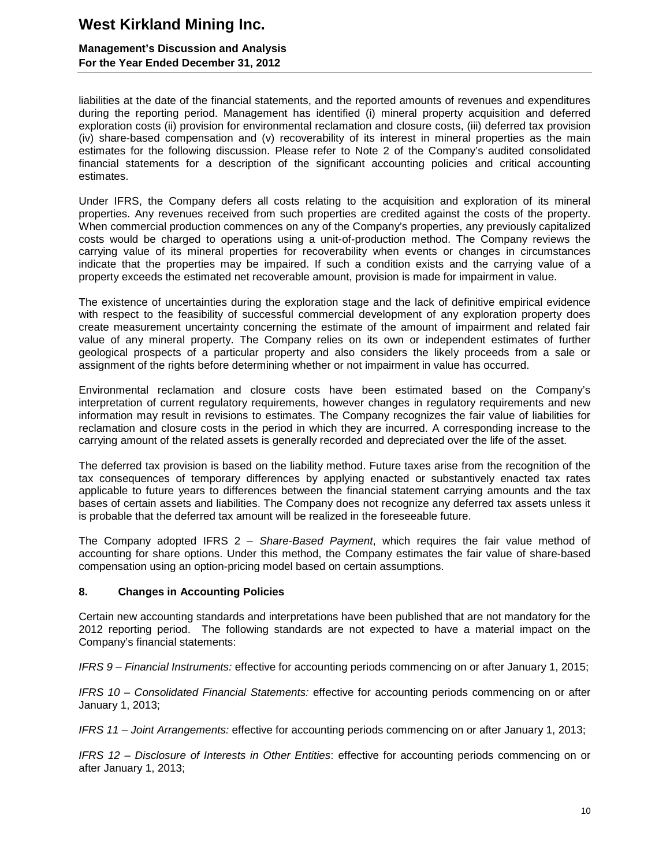### **Management's Discussion and Analysis For the Year Ended December 31, 2012**

liabilities at the date of the financial statements, and the reported amounts of revenues and expenditures during the reporting period. Management has identified (i) mineral property acquisition and deferred exploration costs (ii) provision for environmental reclamation and closure costs, (iii) deferred tax provision (iv) share-based compensation and (v) recoverability of its interest in mineral properties as the main estimates for the following discussion. Please refer to Note 2 of the Company's audited consolidated financial statements for a description of the significant accounting policies and critical accounting estimates.

Under IFRS, the Company defers all costs relating to the acquisition and exploration of its mineral properties. Any revenues received from such properties are credited against the costs of the property. When commercial production commences on any of the Company's properties, any previously capitalized costs would be charged to operations using a unit-of-production method. The Company reviews the carrying value of its mineral properties for recoverability when events or changes in circumstances indicate that the properties may be impaired. If such a condition exists and the carrying value of a property exceeds the estimated net recoverable amount, provision is made for impairment in value.

The existence of uncertainties during the exploration stage and the lack of definitive empirical evidence with respect to the feasibility of successful commercial development of any exploration property does create measurement uncertainty concerning the estimate of the amount of impairment and related fair value of any mineral property. The Company relies on its own or independent estimates of further geological prospects of a particular property and also considers the likely proceeds from a sale or assignment of the rights before determining whether or not impairment in value has occurred.

Environmental reclamation and closure costs have been estimated based on the Company's interpretation of current regulatory requirements, however changes in regulatory requirements and new information may result in revisions to estimates. The Company recognizes the fair value of liabilities for reclamation and closure costs in the period in which they are incurred. A corresponding increase to the carrying amount of the related assets is generally recorded and depreciated over the life of the asset.

The deferred tax provision is based on the liability method. Future taxes arise from the recognition of the tax consequences of temporary differences by applying enacted or substantively enacted tax rates applicable to future years to differences between the financial statement carrying amounts and the tax bases of certain assets and liabilities. The Company does not recognize any deferred tax assets unless it is probable that the deferred tax amount will be realized in the foreseeable future.

The Company adopted IFRS 2 – *Share-Based Payment*, which requires the fair value method of accounting for share options. Under this method, the Company estimates the fair value of share-based compensation using an option-pricing model based on certain assumptions.

### **8. Changes in Accounting Policies**

Certain new accounting standards and interpretations have been published that are not mandatory for the 2012 reporting period. The following standards are not expected to have a material impact on the Company's financial statements:

*IFRS 9 – Financial Instruments:* effective for accounting periods commencing on or after January 1, 2015;

*IFRS 10 – Consolidated Financial Statements:* effective for accounting periods commencing on or after January 1, 2013;

*IFRS 11 – Joint Arrangements:* effective for accounting periods commencing on or after January 1, 2013;

*IFRS 12 – Disclosure of Interests in Other Entities*: effective for accounting periods commencing on or after January 1, 2013;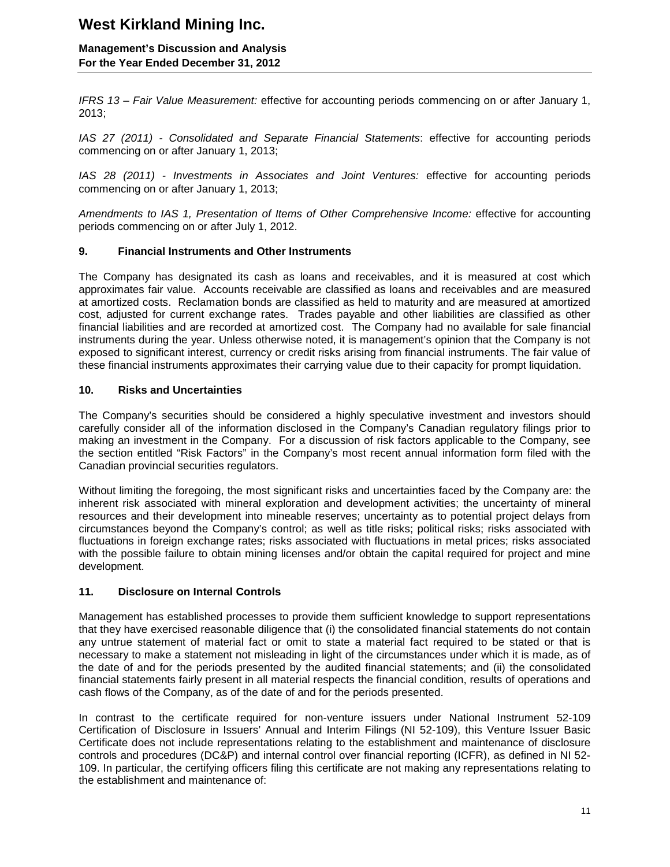### **Management's Discussion and Analysis For the Year Ended December 31, 2012**

*IFRS 13 – Fair Value Measurement:* effective for accounting periods commencing on or after January 1, 2013;

*IAS 27 (2011) - Consolidated and Separate Financial Statements*: effective for accounting periods commencing on or after January 1, 2013;

*IAS 28 (2011) - Investments in Associates and Joint Ventures:* effective for accounting periods commencing on or after January 1, 2013;

*Amendments to IAS 1, Presentation of Items of Other Comprehensive Income:* effective for accounting periods commencing on or after July 1, 2012.

### **9. Financial Instruments and Other Instruments**

The Company has designated its cash as loans and receivables, and it is measured at cost which approximates fair value. Accounts receivable are classified as loans and receivables and are measured at amortized costs. Reclamation bonds are classified as held to maturity and are measured at amortized cost, adjusted for current exchange rates. Trades payable and other liabilities are classified as other financial liabilities and are recorded at amortized cost. The Company had no available for sale financial instruments during the year. Unless otherwise noted, it is management's opinion that the Company is not exposed to significant interest, currency or credit risks arising from financial instruments. The fair value of these financial instruments approximates their carrying value due to their capacity for prompt liquidation.

### **10. Risks and Uncertainties**

The Company's securities should be considered a highly speculative investment and investors should carefully consider all of the information disclosed in the Company's Canadian regulatory filings prior to making an investment in the Company. For a discussion of risk factors applicable to the Company, see the section entitled "Risk Factors" in the Company's most recent annual information form filed with the Canadian provincial securities regulators.

Without limiting the foregoing, the most significant risks and uncertainties faced by the Company are: the inherent risk associated with mineral exploration and development activities; the uncertainty of mineral resources and their development into mineable reserves; uncertainty as to potential project delays from circumstances beyond the Company's control; as well as title risks; political risks; risks associated with fluctuations in foreign exchange rates; risks associated with fluctuations in metal prices; risks associated with the possible failure to obtain mining licenses and/or obtain the capital required for project and mine development.

### **11. Disclosure on Internal Controls**

Management has established processes to provide them sufficient knowledge to support representations that they have exercised reasonable diligence that (i) the consolidated financial statements do not contain any untrue statement of material fact or omit to state a material fact required to be stated or that is necessary to make a statement not misleading in light of the circumstances under which it is made, as of the date of and for the periods presented by the audited financial statements; and (ii) the consolidated financial statements fairly present in all material respects the financial condition, results of operations and cash flows of the Company, as of the date of and for the periods presented.

In contrast to the certificate required for non-venture issuers under National Instrument 52-109 Certification of Disclosure in Issuers' Annual and Interim Filings (NI 52-109), this Venture Issuer Basic Certificate does not include representations relating to the establishment and maintenance of disclosure controls and procedures (DC&P) and internal control over financial reporting (ICFR), as defined in NI 52- 109. In particular, the certifying officers filing this certificate are not making any representations relating to the establishment and maintenance of: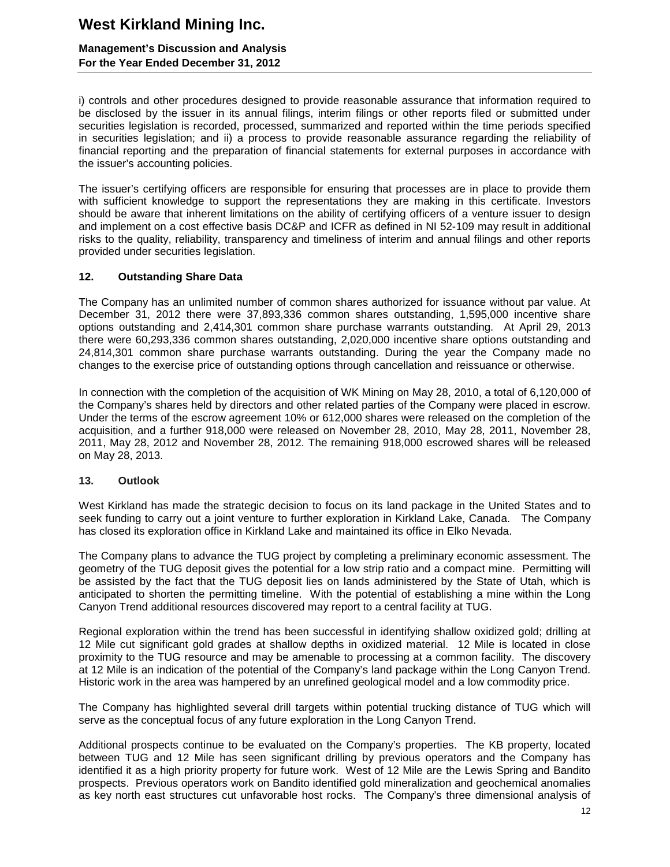## **Management's Discussion and Analysis For the Year Ended December 31, 2012**

i) controls and other procedures designed to provide reasonable assurance that information required to be disclosed by the issuer in its annual filings, interim filings or other reports filed or submitted under securities legislation is recorded, processed, summarized and reported within the time periods specified in securities legislation; and ii) a process to provide reasonable assurance regarding the reliability of financial reporting and the preparation of financial statements for external purposes in accordance with the issuer's accounting policies.

The issuer's certifying officers are responsible for ensuring that processes are in place to provide them with sufficient knowledge to support the representations they are making in this certificate. Investors should be aware that inherent limitations on the ability of certifying officers of a venture issuer to design and implement on a cost effective basis DC&P and ICFR as defined in NI 52-109 may result in additional risks to the quality, reliability, transparency and timeliness of interim and annual filings and other reports provided under securities legislation.

### **12. Outstanding Share Data**

The Company has an unlimited number of common shares authorized for issuance without par value. At December 31, 2012 there were 37,893,336 common shares outstanding, 1,595,000 incentive share options outstanding and 2,414,301 common share purchase warrants outstanding. At April 29, 2013 there were 60,293,336 common shares outstanding, 2,020,000 incentive share options outstanding and 24,814,301 common share purchase warrants outstanding. During the year the Company made no changes to the exercise price of outstanding options through cancellation and reissuance or otherwise.

In connection with the completion of the acquisition of WK Mining on May 28, 2010, a total of 6,120,000 of the Company's shares held by directors and other related parties of the Company were placed in escrow. Under the terms of the escrow agreement 10% or 612,000 shares were released on the completion of the acquisition, and a further 918,000 were released on November 28, 2010, May 28, 2011, November 28, 2011, May 28, 2012 and November 28, 2012. The remaining 918,000 escrowed shares will be released on May 28, 2013.

### **13. Outlook**

West Kirkland has made the strategic decision to focus on its land package in the United States and to seek funding to carry out a joint venture to further exploration in Kirkland Lake, Canada. The Company has closed its exploration office in Kirkland Lake and maintained its office in Elko Nevada.

The Company plans to advance the TUG project by completing a preliminary economic assessment. The geometry of the TUG deposit gives the potential for a low strip ratio and a compact mine. Permitting will be assisted by the fact that the TUG deposit lies on lands administered by the State of Utah, which is anticipated to shorten the permitting timeline. With the potential of establishing a mine within the Long Canyon Trend additional resources discovered may report to a central facility at TUG.

Regional exploration within the trend has been successful in identifying shallow oxidized gold; drilling at 12 Mile cut significant gold grades at shallow depths in oxidized material. 12 Mile is located in close proximity to the TUG resource and may be amenable to processing at a common facility. The discovery at 12 Mile is an indication of the potential of the Company's land package within the Long Canyon Trend. Historic work in the area was hampered by an unrefined geological model and a low commodity price.

The Company has highlighted several drill targets within potential trucking distance of TUG which will serve as the conceptual focus of any future exploration in the Long Canyon Trend.

Additional prospects continue to be evaluated on the Company's properties. The KB property, located between TUG and 12 Mile has seen significant drilling by previous operators and the Company has identified it as a high priority property for future work. West of 12 Mile are the Lewis Spring and Bandito prospects. Previous operators work on Bandito identified gold mineralization and geochemical anomalies as key north east structures cut unfavorable host rocks. The Company's three dimensional analysis of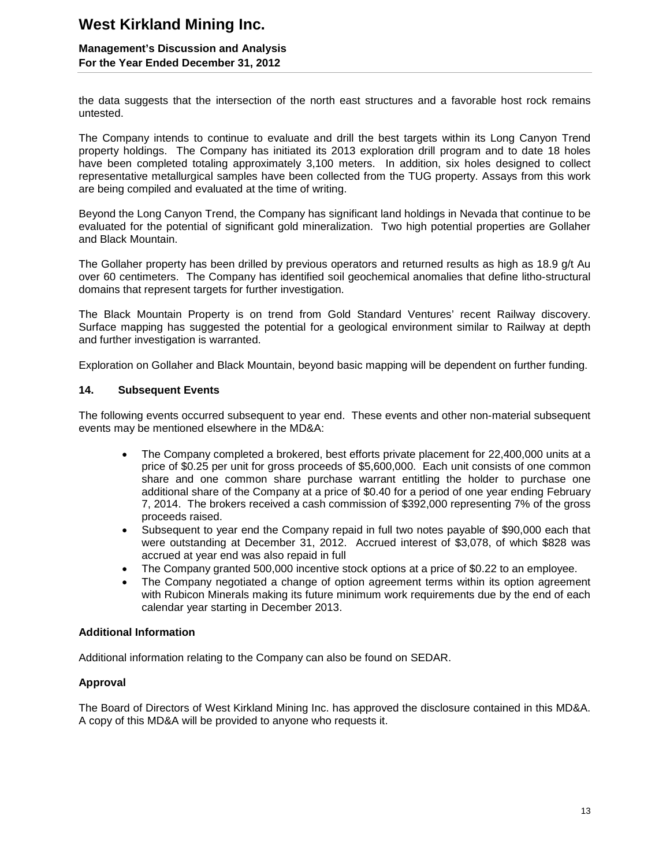## **Management's Discussion and Analysis For the Year Ended December 31, 2012**

the data suggests that the intersection of the north east structures and a favorable host rock remains untested.

The Company intends to continue to evaluate and drill the best targets within its Long Canyon Trend property holdings. The Company has initiated its 2013 exploration drill program and to date 18 holes have been completed totaling approximately 3,100 meters. In addition, six holes designed to collect representative metallurgical samples have been collected from the TUG property. Assays from this work are being compiled and evaluated at the time of writing.

Beyond the Long Canyon Trend, the Company has significant land holdings in Nevada that continue to be evaluated for the potential of significant gold mineralization. Two high potential properties are Gollaher and Black Mountain.

The Gollaher property has been drilled by previous operators and returned results as high as 18.9 g/t Au over 60 centimeters. The Company has identified soil geochemical anomalies that define litho-structural domains that represent targets for further investigation.

The Black Mountain Property is on trend from Gold Standard Ventures' recent Railway discovery. Surface mapping has suggested the potential for a geological environment similar to Railway at depth and further investigation is warranted.

Exploration on Gollaher and Black Mountain, beyond basic mapping will be dependent on further funding.

### **14. Subsequent Events**

The following events occurred subsequent to year end. These events and other non-material subsequent events may be mentioned elsewhere in the MD&A:

- The Company completed a brokered, best efforts private placement for 22,400,000 units at a price of \$0.25 per unit for gross proceeds of \$5,600,000. Each unit consists of one common share and one common share purchase warrant entitling the holder to purchase one additional share of the Company at a price of \$0.40 for a period of one year ending February 7, 2014. The brokers received a cash commission of \$392,000 representing 7% of the gross proceeds raised.
- Subsequent to year end the Company repaid in full two notes payable of \$90,000 each that were outstanding at December 31, 2012. Accrued interest of \$3,078, of which \$828 was accrued at year end was also repaid in full
- The Company granted 500,000 incentive stock options at a price of \$0.22 to an employee.
- The Company negotiated a change of option agreement terms within its option agreement with Rubicon Minerals making its future minimum work requirements due by the end of each calendar year starting in December 2013.

### **Additional Information**

Additional information relating to the Company can also be found on SEDAR.

## **Approval**

The Board of Directors of West Kirkland Mining Inc. has approved the disclosure contained in this MD&A. A copy of this MD&A will be provided to anyone who requests it.